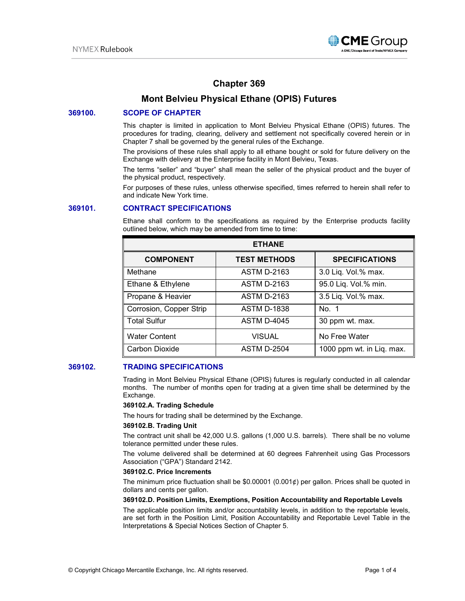

# **Chapter 369**

## **Mont Belvieu Physical Ethane (OPIS) Futures**

## **369100. SCOPE OF CHAPTER**

This chapter is limited in application to Mont Belvieu Physical Ethane (OPIS) futures. The procedures for trading, clearing, delivery and settlement not specifically covered herein or in Chapter 7 shall be governed by the general rules of the Exchange.

The provisions of these rules shall apply to all ethane bought or sold for future delivery on the Exchange with delivery at the Enterprise facility in Mont Belvieu, Texas.

The terms "seller" and "buyer" shall mean the seller of the physical product and the buyer of the physical product, respectively.

For purposes of these rules, unless otherwise specified, times referred to herein shall refer to and indicate New York time.

## **369101. CONTRACT SPECIFICATIONS**

Ethane shall conform to the specifications as required by the Enterprise products facility outlined below, which may be amended from time to time:

| <b>ETHANE</b>           |                     |                           |
|-------------------------|---------------------|---------------------------|
| <b>COMPONENT</b>        | <b>TEST METHODS</b> | <b>SPECIFICATIONS</b>     |
| Methane                 | <b>ASTM D-2163</b>  | 3.0 Liq. Vol.% max.       |
| Ethane & Ethylene       | <b>ASTM D-2163</b>  | 95.0 Liq. Vol.% min.      |
| Propane & Heavier       | <b>ASTM D-2163</b>  | 3.5 Liq. Vol.% max.       |
| Corrosion, Copper Strip | <b>ASTM D-1838</b>  | No. 1                     |
| <b>Total Sulfur</b>     | <b>ASTM D-4045</b>  | 30 ppm wt. max.           |
| <b>Water Content</b>    | <b>VISUAL</b>       | No Free Water             |
| Carbon Dioxide          | <b>ASTM D-2504</b>  | 1000 ppm wt. in Liq. max. |

## **369102. TRADING SPECIFICATIONS**

Trading in Mont Belvieu Physical Ethane (OPIS) futures is regularly conducted in all calendar months. The number of months open for trading at a given time shall be determined by the Exchange.

#### **369102.A. Trading Schedule**

The hours for trading shall be determined by the Exchange.

#### **369102.B. Trading Unit**

The contract unit shall be 42,000 U.S. gallons (1,000 U.S. barrels). There shall be no volume tolerance permitted under these rules.

The volume delivered shall be determined at 60 degrees Fahrenheit using Gas Processors Association ("GPA") Standard 2142.

#### **369102.C. Price Increments**

The minimum price fluctuation shall be  $$0.00001$  (0.001¢) per gallon. Prices shall be quoted in dollars and cents per gallon.

#### **369102.D. Position Limits, Exemptions, Position Accountability and Reportable Levels**

The applicable position limits and/or accountability levels, in addition to the reportable levels, are set forth in the Position Limit, Position Accountability and Reportable Level Table in the Interpretations & Special Notices Section of Chapter 5.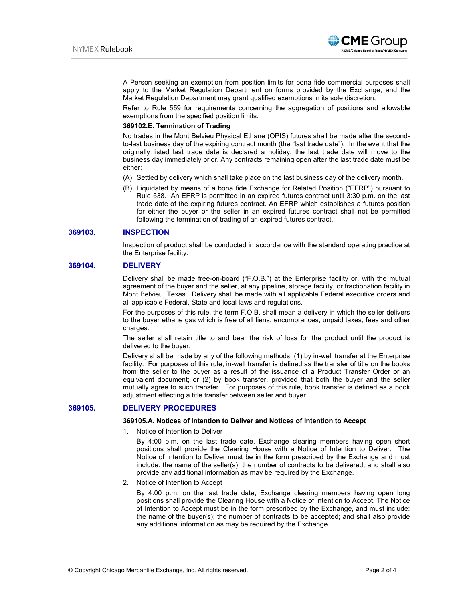

A Person seeking an exemption from position limits for bona fide commercial purposes shall apply to the Market Regulation Department on forms provided by the Exchange, and the Market Regulation Department may grant qualified exemptions in its sole discretion.

Refer to Rule 559 for requirements concerning the aggregation of positions and allowable exemptions from the specified position limits.

#### **369102.E. Termination of Trading**

No trades in the Mont Belvieu Physical Ethane (OPIS) futures shall be made after the secondto-last business day of the expiring contract month (the "last trade date"). In the event that the originally listed last trade date is declared a holiday, the last trade date will move to the business day immediately prior. Any contracts remaining open after the last trade date must be either:

- (A) Settled by delivery which shall take place on the last business day of the delivery month.
- (B) Liquidated by means of a bona fide Exchange for Related Position ("EFRP") pursuant to Rule 538. An EFRP is permitted in an expired futures contract until 3:30 p.m. on the last trade date of the expiring futures contract. An EFRP which establishes a futures position for either the buyer or the seller in an expired futures contract shall not be permitted following the termination of trading of an expired futures contract.

#### **369103. INSPECTION**

Inspection of product shall be conducted in accordance with the standard operating practice at the Enterprise facility.

#### **369104. DELIVERY**

Delivery shall be made free-on-board ("F.O.B.") at the Enterprise facility or, with the mutual agreement of the buyer and the seller, at any pipeline, storage facility, or fractionation facility in Mont Belvieu, Texas. Delivery shall be made with all applicable Federal executive orders and all applicable Federal, State and local laws and regulations.

For the purposes of this rule, the term F.O.B. shall mean a delivery in which the seller delivers to the buyer ethane gas which is free of all liens, encumbrances, unpaid taxes, fees and other charges.

The seller shall retain title to and bear the risk of loss for the product until the product is delivered to the buyer.

Delivery shall be made by any of the following methods: (1) by in-well transfer at the Enterprise facility. For purposes of this rule, in-well transfer is defined as the transfer of title on the books from the seller to the buyer as a result of the issuance of a Product Transfer Order or an equivalent document; or (2) by book transfer, provided that both the buyer and the seller mutually agree to such transfer. For purposes of this rule, book transfer is defined as a book adjustment effecting a title transfer between seller and buyer.

#### **369105. DELIVERY PROCEDURES**

#### **369105.A. Notices of Intention to Deliver and Notices of Intention to Accept**

1. Notice of Intention to Deliver

By 4:00 p.m. on the last trade date, Exchange clearing members having open short positions shall provide the Clearing House with a Notice of Intention to Deliver. The Notice of Intention to Deliver must be in the form prescribed by the Exchange and must include: the name of the seller(s); the number of contracts to be delivered; and shall also provide any additional information as may be required by the Exchange.

2. Notice of Intention to Accept

By 4:00 p.m. on the last trade date, Exchange clearing members having open long positions shall provide the Clearing House with a Notice of Intention to Accept. The Notice of Intention to Accept must be in the form prescribed by the Exchange, and must include: the name of the buyer(s); the number of contracts to be accepted; and shall also provide any additional information as may be required by the Exchange.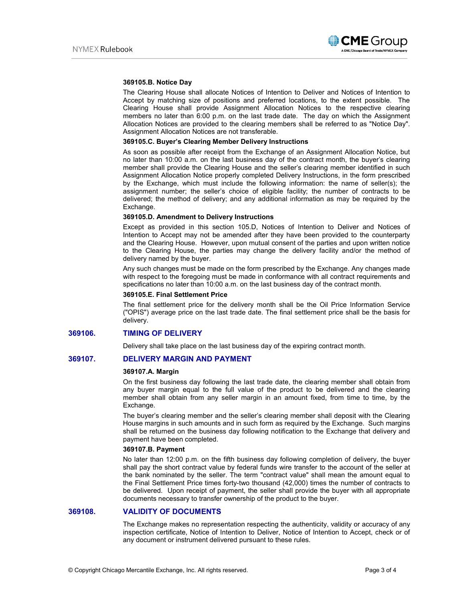

#### **369105.B. Notice Day**

The Clearing House shall allocate Notices of Intention to Deliver and Notices of Intention to Accept by matching size of positions and preferred locations, to the extent possible. The Clearing House shall provide Assignment Allocation Notices to the respective clearing members no later than 6:00 p.m. on the last trade date. The day on which the Assignment Allocation Notices are provided to the clearing members shall be referred to as "Notice Day". Assignment Allocation Notices are not transferable.

#### **369105.C. Buyer's Clearing Member Delivery Instructions**

As soon as possible after receipt from the Exchange of an Assignment Allocation Notice, but no later than 10:00 a.m. on the last business day of the contract month, the buyer's clearing member shall provide the Clearing House and the seller's clearing member identified in such Assignment Allocation Notice properly completed Delivery Instructions, in the form prescribed by the Exchange, which must include the following information: the name of seller(s); the assignment number; the seller's choice of eligible facility; the number of contracts to be delivered; the method of delivery; and any additional information as may be required by the Exchange.

#### **369105.D. Amendment to Delivery Instructions**

Except as provided in this section 105.D, Notices of Intention to Deliver and Notices of Intention to Accept may not be amended after they have been provided to the counterparty and the Clearing House. However, upon mutual consent of the parties and upon written notice to the Clearing House, the parties may change the delivery facility and/or the method of delivery named by the buyer.

Any such changes must be made on the form prescribed by the Exchange. Any changes made with respect to the foregoing must be made in conformance with all contract requirements and specifications no later than 10:00 a.m. on the last business day of the contract month.

#### **369105.E. Final Settlement Price**

The final settlement price for the delivery month shall be the Oil Price Information Service ("OPIS") average price on the last trade date. The final settlement price shall be the basis for delivery.

## **369106. TIMING OF DELIVERY**

Delivery shall take place on the last business day of the expiring contract month.

## **369107. DELIVERY MARGIN AND PAYMENT**

#### **369107.A. Margin**

On the first business day following the last trade date, the clearing member shall obtain from any buyer margin equal to the full value of the product to be delivered and the clearing member shall obtain from any seller margin in an amount fixed, from time to time, by the Exchange.

The buyer's clearing member and the seller's clearing member shall deposit with the Clearing House margins in such amounts and in such form as required by the Exchange. Such margins shall be returned on the business day following notification to the Exchange that delivery and payment have been completed.

#### **369107.B. Payment**

No later than 12:00 p.m. on the fifth business day following completion of delivery, the buyer shall pay the short contract value by federal funds wire transfer to the account of the seller at the bank nominated by the seller. The term "contract value" shall mean the amount equal to the Final Settlement Price times forty-two thousand (42,000) times the number of contracts to be delivered. Upon receipt of payment, the seller shall provide the buyer with all appropriate documents necessary to transfer ownership of the product to the buyer.

## **369108. VALIDITY OF DOCUMENTS**

The Exchange makes no representation respecting the authenticity, validity or accuracy of any inspection certificate, Notice of Intention to Deliver, Notice of Intention to Accept, check or of any document or instrument delivered pursuant to these rules.